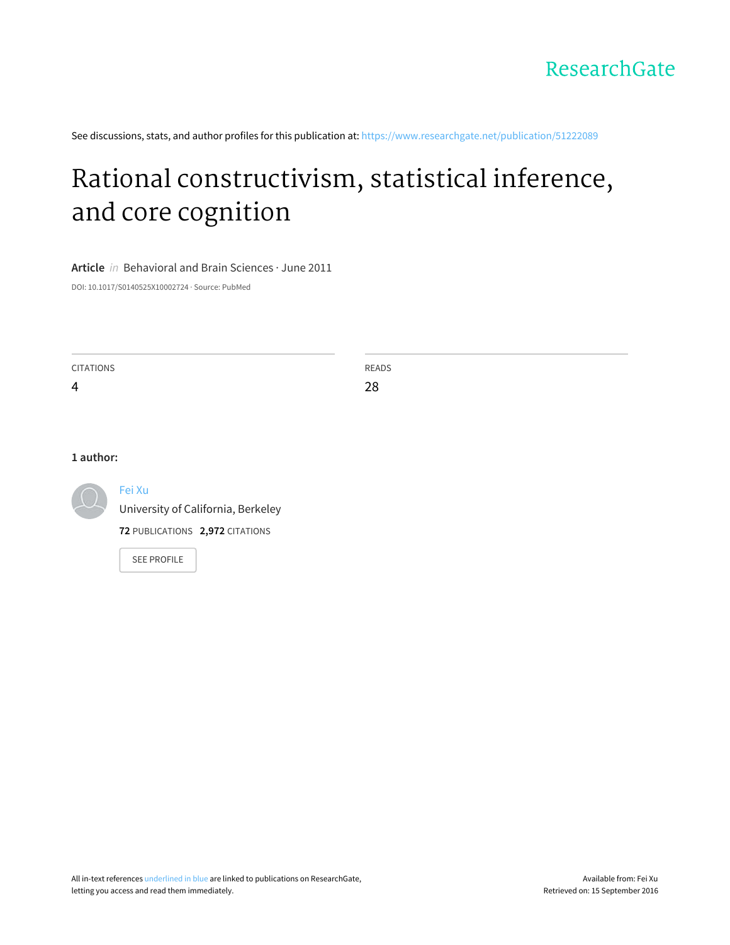See discussions, stats, and author profiles for this publication at: [https://www.researchgate.net/publication/51222089](https://www.researchgate.net/publication/51222089_Rational_constructivism_statistical_inference_and_core_cognition?enrichId=rgreq-598f9a171882c8ecf399409fcb7c9ec8-XXX&enrichSource=Y292ZXJQYWdlOzUxMjIyMDg5O0FTOjk3MzIwMDE2Mjg1Njk5QDE0MDAyMTQzMDg0MTg%3D&el=1_x_2)

# Rational [constructivism,](https://www.researchgate.net/publication/51222089_Rational_constructivism_statistical_inference_and_core_cognition?enrichId=rgreq-598f9a171882c8ecf399409fcb7c9ec8-XXX&enrichSource=Y292ZXJQYWdlOzUxMjIyMDg5O0FTOjk3MzIwMDE2Mjg1Njk5QDE0MDAyMTQzMDg0MTg%3D&el=1_x_3) statistical inference, and core cognition

**Article** in Behavioral and Brain Sciences · June 2011

DOI: 10.1017/S0140525X10002724 · Source: PubMed

CITATIONS 4 READS 28

#### **1 author:**



#### [Fei](https://www.researchgate.net/profile/Fei_Xu18?enrichId=rgreq-598f9a171882c8ecf399409fcb7c9ec8-XXX&enrichSource=Y292ZXJQYWdlOzUxMjIyMDg5O0FTOjk3MzIwMDE2Mjg1Njk5QDE0MDAyMTQzMDg0MTg%3D&el=1_x_5) Xu

University of [California,](https://www.researchgate.net/institution/University_of_California_Berkeley?enrichId=rgreq-598f9a171882c8ecf399409fcb7c9ec8-XXX&enrichSource=Y292ZXJQYWdlOzUxMjIyMDg5O0FTOjk3MzIwMDE2Mjg1Njk5QDE0MDAyMTQzMDg0MTg%3D&el=1_x_6) Berkeley

**72** PUBLICATIONS **2,972** CITATIONS

SEE [PROFILE](https://www.researchgate.net/profile/Fei_Xu18?enrichId=rgreq-598f9a171882c8ecf399409fcb7c9ec8-XXX&enrichSource=Y292ZXJQYWdlOzUxMjIyMDg5O0FTOjk3MzIwMDE2Mjg1Njk5QDE0MDAyMTQzMDg0MTg%3D&el=1_x_7)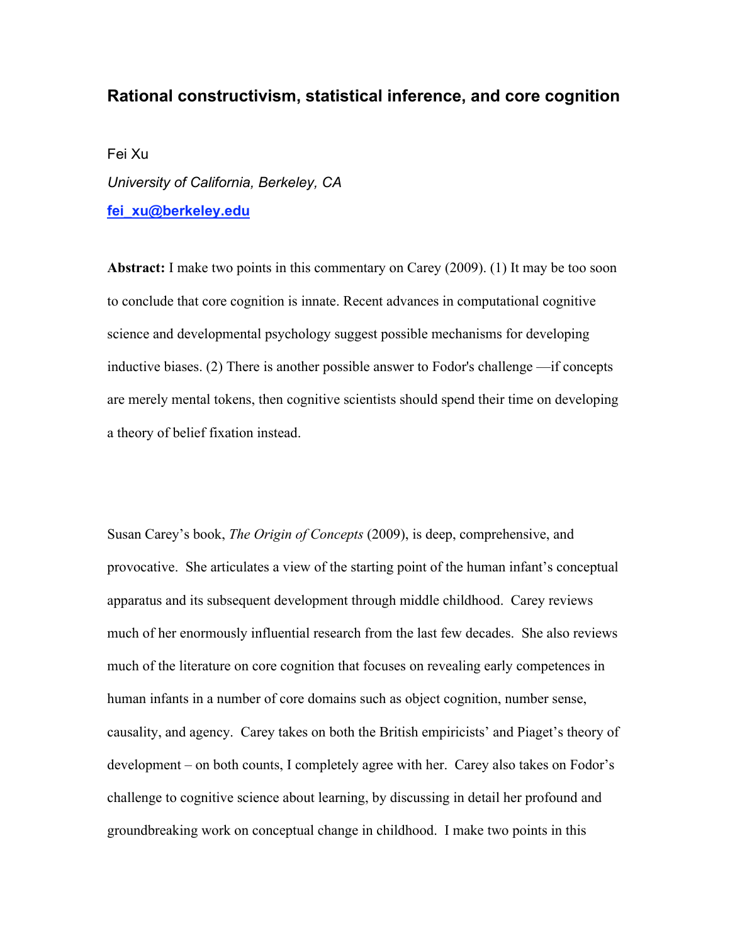## **Rational constructivism, statistical inference, and core cognition**

Fei Xu *University of California, Berkeley, CA* **fei\_xu@berkeley.edu**

**Abstract:** I make two points in this commentary on Carey (2009). (1) It may be too soon to conclude that core cognition is innate. Recent advances in computational cognitive science and developmental psychology suggest possible mechanisms for developing inductive biases. (2) There is another possible answer to Fodor's challenge —if concepts are merely mental tokens, then cognitive scientists should spend their time on developing a theory of belief fixation instead.

Susan Carey's book, *The Origin of Concepts* (2009), is deep, comprehensive, and provocative. She articulates a view of the starting point of the human infant's conceptual apparatus and its subsequent development through middle childhood. Carey reviews much of her enormously influential research from the last few decades. She also reviews much of the literature on core cognition that focuses on revealing early competences in human infants in a number of core domains such as object cognition, number sense, causality, and agency. Carey takes on both the British empiricists' and Piaget's theory of development – on both counts, I completely agree with her. Carey also takes on Fodor's challenge to cognitive science about learning, by discussing in detail her profound and groundbreaking work on conceptual change in childhood. I make two points in this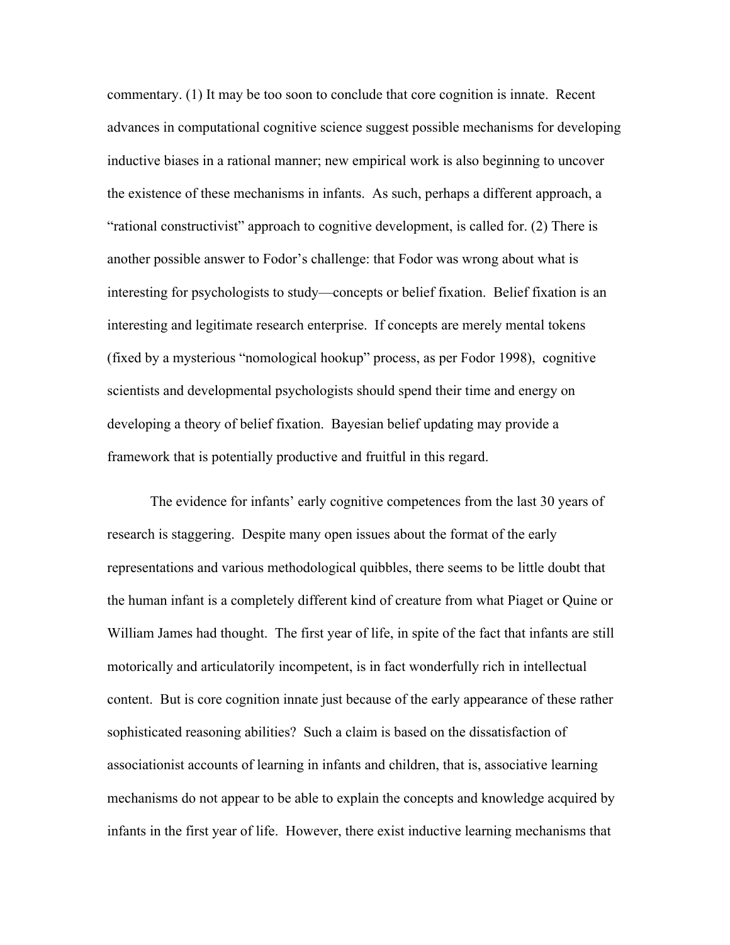commentary. (1) It may be too soon to conclude that core cognition is innate. Recent advances in computational cognitive science suggest possible mechanisms for developing inductive biases in a rational manner; new empirical work is also beginning to uncover the existence of these mechanisms in infants. As such, perhaps a different approach, a "rational constructivist" approach to cognitive development, is called for. (2) There is another possible answer to Fodor's challenge: that Fodor was wrong about what is interesting for psychologists to study—concepts or belief fixation. Belief fixation is an interesting and legitimate research enterprise. If concepts are merely mental tokens (fixed by a mysterious "nomological hookup" process, as per Fodor 1998), cognitive scientists and developmental psychologists should spend their time and energy on developing a theory of belief fixation. Bayesian belief updating may provide a framework that is potentially productive and fruitful in this regard.

The evidence for infants' early cognitive competences from the last 30 years of research is staggering. Despite many open issues about the format of the early representations and various methodological quibbles, there seems to be little doubt that the human infant is a completely different kind of creature from what Piaget or Quine or William James had thought. The first year of life, in spite of the fact that infants are still motorically and articulatorily incompetent, is in fact wonderfully rich in intellectual content. But is core cognition innate just because of the early appearance of these rather sophisticated reasoning abilities? Such a claim is based on the dissatisfaction of associationist accounts of learning in infants and children, that is, associative learning mechanisms do not appear to be able to explain the concepts and knowledge acquired by infants in the first year of life. However, there exist inductive learning mechanisms that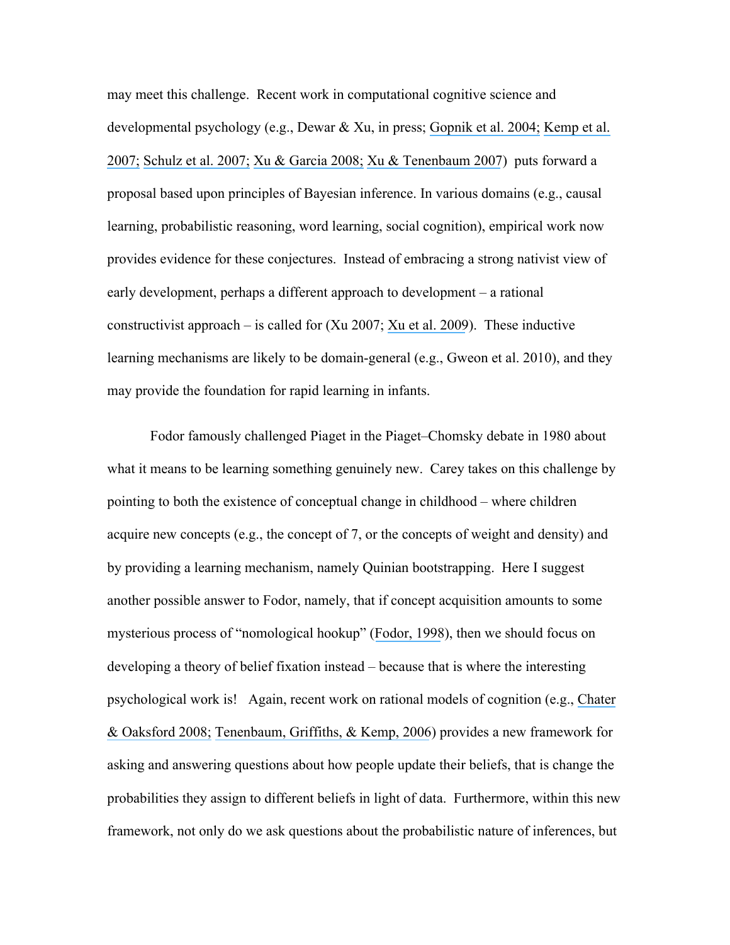may meet this challenge. Recent work in computational cognitive science and developmental psychology (e.g., Dewar & Xu, in press; [Gopnik et al. 2004;](https://www.researchgate.net/publication/8890978_A_Theory_of_Causal_Learning_in_Children_Causal_Maps_and_Bayes_Nets?el=1_x_8&enrichId=rgreq-598f9a171882c8ecf399409fcb7c9ec8-XXX&enrichSource=Y292ZXJQYWdlOzUxMjIyMDg5O0FTOjk3MzIwMDE2Mjg1Njk5QDE0MDAyMTQzMDg0MTg=) [Kemp et al.](https://www.researchgate.net/publication/6383769_Learning_Overhypotheses_with_Hierarchical_Bayesian_Models?el=1_x_8&enrichId=rgreq-598f9a171882c8ecf399409fcb7c9ec8-XXX&enrichSource=Y292ZXJQYWdlOzUxMjIyMDg5O0FTOjk3MzIwMDE2Mjg1Njk5QDE0MDAyMTQzMDg0MTg=)  [2007;](https://www.researchgate.net/publication/6383769_Learning_Overhypotheses_with_Hierarchical_Bayesian_Models?el=1_x_8&enrichId=rgreq-598f9a171882c8ecf399409fcb7c9ec8-XXX&enrichSource=Y292ZXJQYWdlOzUxMjIyMDg5O0FTOjk3MzIwMDE2Mjg1Njk5QDE0MDAyMTQzMDg0MTg=) [Schulz et al. 2007;](https://www.researchgate.net/publication/237546084_Can_being_scared_make_your_tummy_ache_Naive_theories_ambiguous_evidence_and_preschoolers) [Xu & Garcia 2008;](https://www.researchgate.net/publication/5473566_Intuitive_statistics_by_8-month-olds?el=1_x_8&enrichId=rgreq-598f9a171882c8ecf399409fcb7c9ec8-XXX&enrichSource=Y292ZXJQYWdlOzUxMjIyMDg5O0FTOjk3MzIwMDE2Mjg1Njk5QDE0MDAyMTQzMDg0MTg=) [Xu & Tenenbaum 2007](https://www.researchgate.net/publication/2929220_Word_learning_as_Bayesian_inference?el=1_x_8&enrichId=rgreq-598f9a171882c8ecf399409fcb7c9ec8-XXX&enrichSource=Y292ZXJQYWdlOzUxMjIyMDg5O0FTOjk3MzIwMDE2Mjg1Njk5QDE0MDAyMTQzMDg0MTg=)) puts forward a proposal based upon principles of Bayesian inference. In various domains (e.g., causal learning, probabilistic reasoning, word learning, social cognition), empirical work now provides evidence for these conjectures. Instead of embracing a strong nativist view of early development, perhaps a different approach to development – a rational constructivist approach – is called for  $(Xu 2007; Xu$  et al. 2009). These inductive learning mechanisms are likely to be domain-general (e.g., Gweon et al. 2010), and they may provide the foundation for rapid learning in infants.

Fodor famously challenged Piaget in the Piaget–Chomsky debate in 1980 about what it means to be learning something genuinely new. Carey takes on this challenge by pointing to both the existence of conceptual change in childhood – where children acquire new concepts (e.g., the concept of 7, or the concepts of weight and density) and by providing a learning mechanism, namely Quinian bootstrapping. Here I suggest another possible answer to Fodor, namely, that if concept acquisition amounts to some mysterious process of "nomological hookup" ([Fodor, 1998](https://www.researchgate.net/publication/248430170_Where_Cognitive_Science_Went_Wrong?el=1_x_8&enrichId=rgreq-598f9a171882c8ecf399409fcb7c9ec8-XXX&enrichSource=Y292ZXJQYWdlOzUxMjIyMDg5O0FTOjk3MzIwMDE2Mjg1Njk5QDE0MDAyMTQzMDg0MTg=)), then we should focus on developing a theory of belief fixation instead – because that is where the interesting psychological work is! Again, recent work on rational models of cognition (e.g., [Chater](https://www.researchgate.net/publication/286501962_The_probabilistic_mind_Prospects_for_a_Bayesian_cognitive_science?el=1_x_8&enrichId=rgreq-598f9a171882c8ecf399409fcb7c9ec8-XXX&enrichSource=Y292ZXJQYWdlOzUxMjIyMDg5O0FTOjk3MzIwMDE2Mjg1Njk5QDE0MDAyMTQzMDg0MTg=)  [& Oaksford 2008;](https://www.researchgate.net/publication/286501962_The_probabilistic_mind_Prospects_for_a_Bayesian_cognitive_science?el=1_x_8&enrichId=rgreq-598f9a171882c8ecf399409fcb7c9ec8-XXX&enrichSource=Y292ZXJQYWdlOzUxMjIyMDg5O0FTOjk3MzIwMDE2Mjg1Njk5QDE0MDAyMTQzMDg0MTg=) [Tenenbaum, Griffiths, & Kemp, 2006](https://www.researchgate.net/publication/6987686_Theory-Based_Bayesian_Models_of_Inductive_Learning_and_Reasoning?el=1_x_8&enrichId=rgreq-598f9a171882c8ecf399409fcb7c9ec8-XXX&enrichSource=Y292ZXJQYWdlOzUxMjIyMDg5O0FTOjk3MzIwMDE2Mjg1Njk5QDE0MDAyMTQzMDg0MTg=)) provides a new framework for asking and answering questions about how people update their beliefs, that is change the probabilities they assign to different beliefs in light of data. Furthermore, within this new framework, not only do we ask questions about the probabilistic nature of inferences, but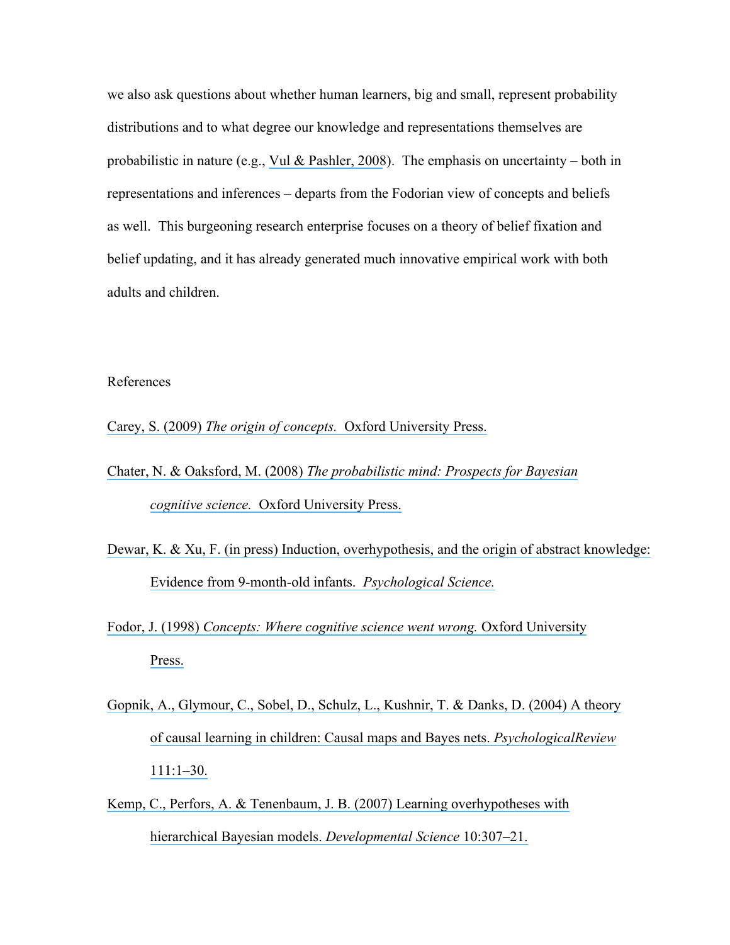we also ask questions about whether human learners, big and small, represent probability distributions and to what degree our knowledge and representations themselves are probabilistic in nature (e.g., [Vul & Pashler, 2008](https://www.researchgate.net/publication/23194483_Measuring_the_Crowd_Within_Probabilistic_Representations_Within_Individuals?el=1_x_8&enrichId=rgreq-598f9a171882c8ecf399409fcb7c9ec8-XXX&enrichSource=Y292ZXJQYWdlOzUxMjIyMDg5O0FTOjk3MzIwMDE2Mjg1Njk5QDE0MDAyMTQzMDg0MTg=)). The emphasis on uncertainty – both in representations and inferences – departs from the Fodorian view of concepts and beliefs as well. This burgeoning research enterprise focuses on a theory of belief fixation and belief updating, and it has already generated much innovative empirical work with both adults and children.

### References

Carey, S. (2009) *The origin of concepts.* [Oxford University Press.](https://www.researchgate.net/publication/228828863_The_Origin_of_Concepts?el=1_x_8&enrichId=rgreq-598f9a171882c8ecf399409fcb7c9ec8-XXX&enrichSource=Y292ZXJQYWdlOzUxMjIyMDg5O0FTOjk3MzIwMDE2Mjg1Njk5QDE0MDAyMTQzMDg0MTg=)

- Chater, N. & Oaksford, M. (2008) *[The probabilistic mind: Prospects for Bayesian](https://www.researchgate.net/publication/286501962_The_probabilistic_mind_Prospects_for_a_Bayesian_cognitive_science?el=1_x_8&enrichId=rgreq-598f9a171882c8ecf399409fcb7c9ec8-XXX&enrichSource=Y292ZXJQYWdlOzUxMjIyMDg5O0FTOjk3MzIwMDE2Mjg1Njk5QDE0MDAyMTQzMDg0MTg=)  cognitive science.* [Oxford University Press.](https://www.researchgate.net/publication/286501962_The_probabilistic_mind_Prospects_for_a_Bayesian_cognitive_science?el=1_x_8&enrichId=rgreq-598f9a171882c8ecf399409fcb7c9ec8-XXX&enrichSource=Y292ZXJQYWdlOzUxMjIyMDg5O0FTOjk3MzIwMDE2Mjg1Njk5QDE0MDAyMTQzMDg0MTg=)
- [Dewar, K. & Xu, F. \(in press\) Induction, overhypothesis, and the origin of abstract knowledge:](https://www.researchgate.net/publication/47794250_Induction_Overhypothesis_and_the_Origin_of_Abstract_Knowledge_Evidence_From_9-Month-Old_Infants?el=1_x_8&enrichId=rgreq-598f9a171882c8ecf399409fcb7c9ec8-XXX&enrichSource=Y292ZXJQYWdlOzUxMjIyMDg5O0FTOjk3MzIwMDE2Mjg1Njk5QDE0MDAyMTQzMDg0MTg=)  [Evidence from 9-month-old infants.](https://www.researchgate.net/publication/47794250_Induction_Overhypothesis_and_the_Origin_of_Abstract_Knowledge_Evidence_From_9-Month-Old_Infants?el=1_x_8&enrichId=rgreq-598f9a171882c8ecf399409fcb7c9ec8-XXX&enrichSource=Y292ZXJQYWdlOzUxMjIyMDg5O0FTOjk3MzIwMDE2Mjg1Njk5QDE0MDAyMTQzMDg0MTg=) *Psychological Science.*
- Fodor, J. (1998) *[Concepts: Where cognitive science went wrong.](https://www.researchgate.net/publication/248430170_Where_Cognitive_Science_Went_Wrong?el=1_x_8&enrichId=rgreq-598f9a171882c8ecf399409fcb7c9ec8-XXX&enrichSource=Y292ZXJQYWdlOzUxMjIyMDg5O0FTOjk3MzIwMDE2Mjg1Njk5QDE0MDAyMTQzMDg0MTg=)* Oxford University [Press.](https://www.researchgate.net/publication/248430170_Where_Cognitive_Science_Went_Wrong?el=1_x_8&enrichId=rgreq-598f9a171882c8ecf399409fcb7c9ec8-XXX&enrichSource=Y292ZXJQYWdlOzUxMjIyMDg5O0FTOjk3MzIwMDE2Mjg1Njk5QDE0MDAyMTQzMDg0MTg=)
- [Gopnik, A., Glymour, C., Sobel, D., Schulz, L., Kushnir, T. & Danks, D. \(2004\) A](https://www.researchgate.net/publication/8890978_A_Theory_of_Causal_Learning_in_Children_Causal_Maps_and_Bayes_Nets?el=1_x_8&enrichId=rgreq-598f9a171882c8ecf399409fcb7c9ec8-XXX&enrichSource=Y292ZXJQYWdlOzUxMjIyMDg5O0FTOjk3MzIwMDE2Mjg1Njk5QDE0MDAyMTQzMDg0MTg=) theory [of causal learning in children: Causal maps and Bayes nets.](https://www.researchgate.net/publication/8890978_A_Theory_of_Causal_Learning_in_Children_Causal_Maps_and_Bayes_Nets?el=1_x_8&enrichId=rgreq-598f9a171882c8ecf399409fcb7c9ec8-XXX&enrichSource=Y292ZXJQYWdlOzUxMjIyMDg5O0FTOjk3MzIwMDE2Mjg1Njk5QDE0MDAyMTQzMDg0MTg=) *PsychologicalReview* [111:1–30.](https://www.researchgate.net/publication/8890978_A_Theory_of_Causal_Learning_in_Children_Causal_Maps_and_Bayes_Nets?el=1_x_8&enrichId=rgreq-598f9a171882c8ecf399409fcb7c9ec8-XXX&enrichSource=Y292ZXJQYWdlOzUxMjIyMDg5O0FTOjk3MzIwMDE2Mjg1Njk5QDE0MDAyMTQzMDg0MTg=)
- [Kemp, C., Perfors, A. & Tenenbaum, J. B. \(2007\) Learning overhypotheses with](https://www.researchgate.net/publication/6383769_Learning_Overhypotheses_with_Hierarchical_Bayesian_Models?el=1_x_8&enrichId=rgreq-598f9a171882c8ecf399409fcb7c9ec8-XXX&enrichSource=Y292ZXJQYWdlOzUxMjIyMDg5O0FTOjk3MzIwMDE2Mjg1Njk5QDE0MDAyMTQzMDg0MTg=) [hierarchical Bayesian models.](https://www.researchgate.net/publication/6383769_Learning_Overhypotheses_with_Hierarchical_Bayesian_Models?el=1_x_8&enrichId=rgreq-598f9a171882c8ecf399409fcb7c9ec8-XXX&enrichSource=Y292ZXJQYWdlOzUxMjIyMDg5O0FTOjk3MzIwMDE2Mjg1Njk5QDE0MDAyMTQzMDg0MTg=) *Developmental Science* 10:307–21.